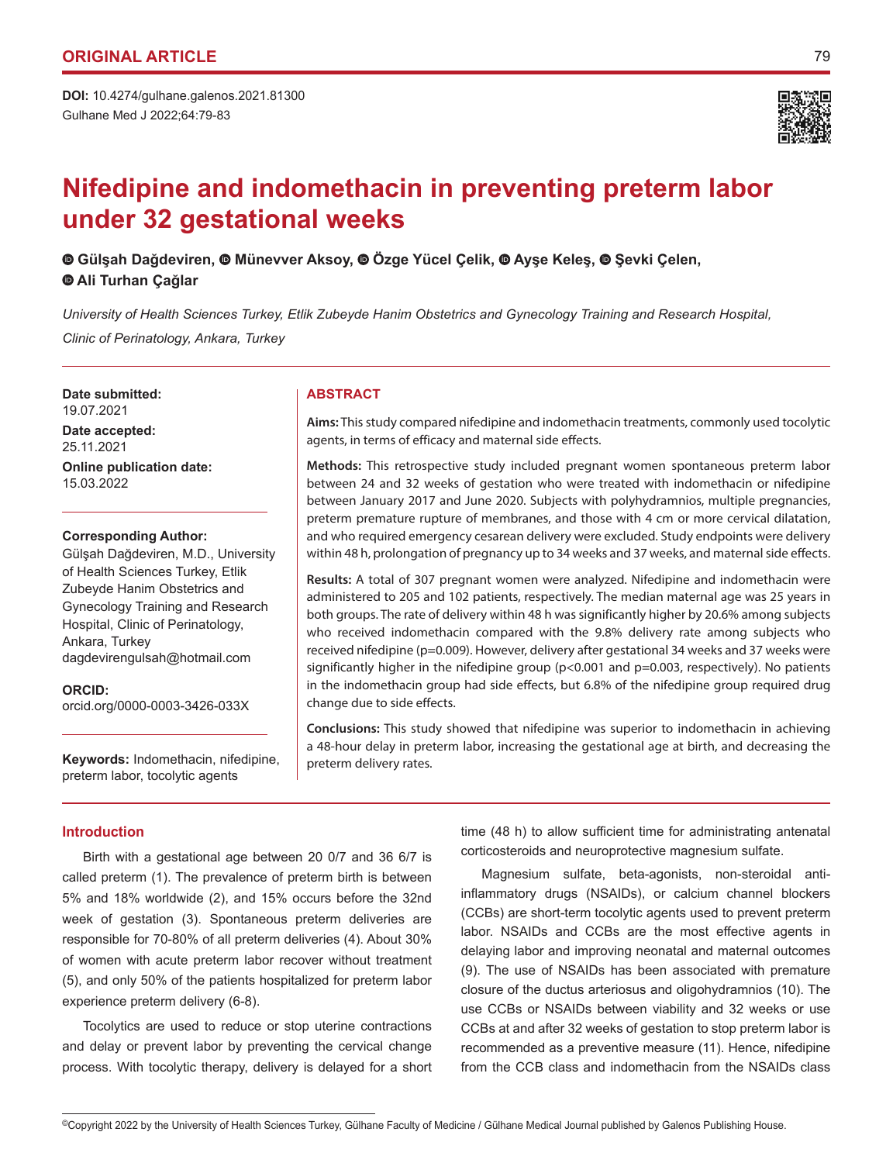Gulhane Med J 2022;64:79-83 **DOI:** 10.4274/gulhane.galenos.2021.81300



# **Nifedipine and indomethacin in preventing preterm labor under 32 gestational weeks**

**Gülşah Dağdeviren,Münevver Aksoy,Özge Yücel Çelik, Ayşe Keleş,Şevki Çelen, Ali Turhan Çağlar**

*University of Health Sciences Turkey, Etlik Zubeyde Hanim Obstetrics and Gynecology Training and Research Hospital, Clinic of Perinatology, Ankara, Turkey*

**Date submitted:** 19.07.2021

**Date accepted:** 25.11.2021

**Online publication date:** 15.03.2022

### **Corresponding Author:**

Gülşah Dağdeviren, M.D., University of Health Sciences Turkey, Etlik Zubeyde Hanim Obstetrics and Gynecology Training and Research Hospital, Clinic of Perinatology, Ankara, Turkey dagdevirengulsah@hotmail.com

**ORCID:**  orcid.org/0000-0003-3426-033X

**Keywords:** Indomethacin, nifedipine, preterm labor, tocolytic agents

# **ABSTRACT**

**Aims:** This study compared nifedipine and indomethacin treatments, commonly used tocolytic agents, in terms of efficacy and maternal side effects.

**Methods:** This retrospective study included pregnant women spontaneous preterm labor between 24 and 32 weeks of gestation who were treated with indomethacin or nifedipine between January 2017 and June 2020. Subjects with polyhydramnios, multiple pregnancies, preterm premature rupture of membranes, and those with 4 cm or more cervical dilatation, and who required emergency cesarean delivery were excluded. Study endpoints were delivery within 48 h, prolongation of pregnancy up to 34 weeks and 37 weeks, and maternal side effects.

**Results:** A total of 307 pregnant women were analyzed. Nifedipine and indomethacin were administered to 205 and 102 patients, respectively. The median maternal age was 25 years in both groups. The rate of delivery within 48 h was significantly higher by 20.6% among subjects who received indomethacin compared with the 9.8% delivery rate among subjects who received nifedipine (p=0.009). However, delivery after gestational 34 weeks and 37 weeks were significantly higher in the nifedipine group (p<0.001 and p=0.003, respectively). No patients in the indomethacin group had side effects, but 6.8% of the nifedipine group required drug change due to side effects.

**Conclusions:** This study showed that nifedipine was superior to indomethacin in achieving a 48-hour delay in preterm labor, increasing the gestational age at birth, and decreasing the preterm delivery rates.

# **Introduction**

Birth with a gestational age between 20 0/7 and 36 6/7 is called preterm (1). The prevalence of preterm birth is between 5% and 18% worldwide (2), and 15% occurs before the 32nd week of gestation (3). Spontaneous preterm deliveries are responsible for 70-80% of all preterm deliveries (4). About 30% of women with acute preterm labor recover without treatment (5), and only 50% of the patients hospitalized for preterm labor experience preterm delivery (6-8).

Tocolytics are used to reduce or stop uterine contractions and delay or prevent labor by preventing the cervical change process. With tocolytic therapy, delivery is delayed for a short time (48 h) to allow sufficient time for administrating antenatal corticosteroids and neuroprotective magnesium sulfate.

Magnesium sulfate, beta-agonists, non-steroidal antiinflammatory drugs (NSAIDs), or calcium channel blockers (CCBs) are short-term tocolytic agents used to prevent preterm labor. NSAIDs and CCBs are the most effective agents in delaying labor and improving neonatal and maternal outcomes (9). The use of NSAIDs has been associated with premature closure of the ductus arteriosus and oligohydramnios (10). The use CCBs or NSAIDs between viability and 32 weeks or use CCBs at and after 32 weeks of gestation to stop preterm labor is recommended as a preventive measure (11). Hence, nifedipine from the CCB class and indomethacin from the NSAIDs class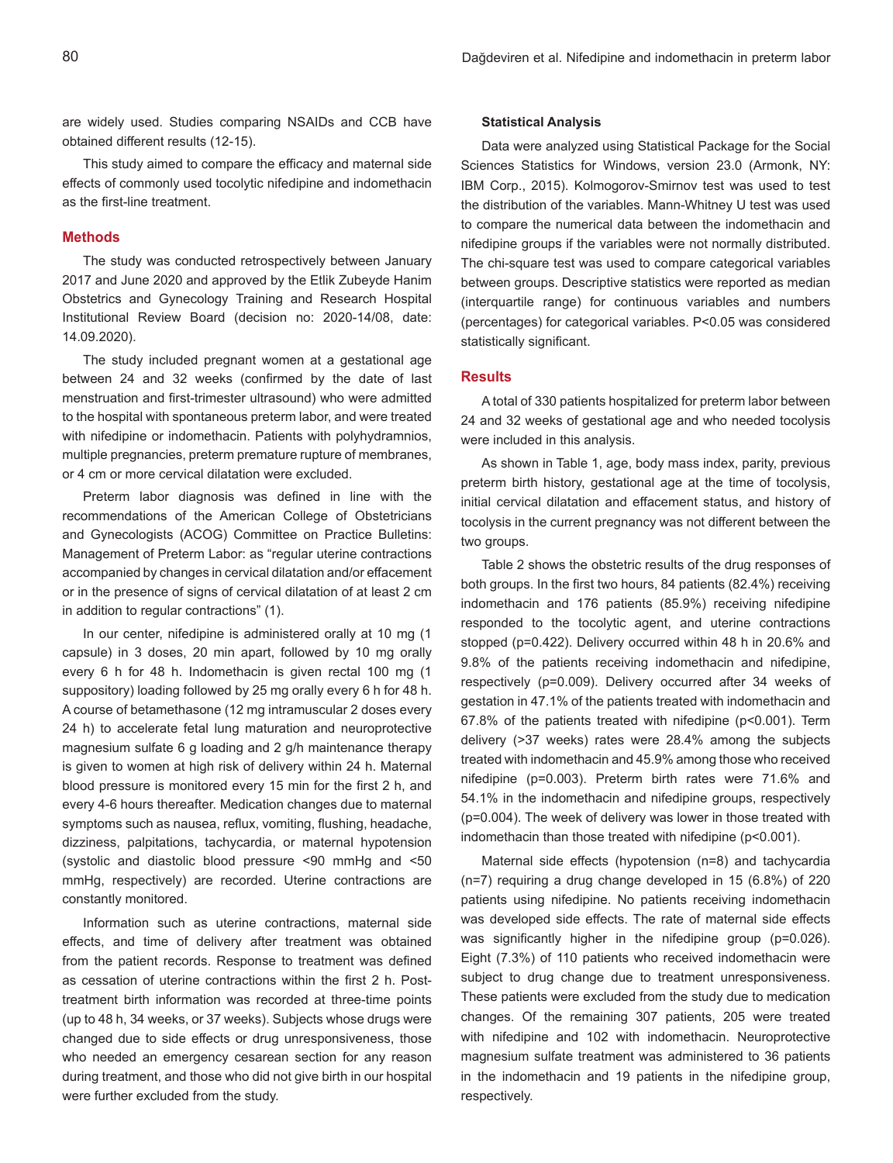are widely used. Studies comparing NSAIDs and CCB have obtained different results (12-15).

This study aimed to compare the efficacy and maternal side effects of commonly used tocolytic nifedipine and indomethacin as the first-line treatment.

# **Methods**

The study was conducted retrospectively between January 2017 and June 2020 and approved by the Etlik Zubeyde Hanim Obstetrics and Gynecology Training and Research Hospital Institutional Review Board (decision no: 2020-14/08, date: 14.09.2020).

The study included pregnant women at a gestational age between 24 and 32 weeks (confirmed by the date of last menstruation and first-trimester ultrasound) who were admitted to the hospital with spontaneous preterm labor, and were treated with nifedipine or indomethacin. Patients with polyhydramnios, multiple pregnancies, preterm premature rupture of membranes, or 4 cm or more cervical dilatation were excluded.

Preterm labor diagnosis was defined in line with the recommendations of the American College of Obstetricians and Gynecologists (ACOG) Committee on Practice Bulletins: Management of Preterm Labor: as "regular uterine contractions accompanied by changes in cervical dilatation and/or effacement or in the presence of signs of cervical dilatation of at least 2 cm in addition to regular contractions" (1).

In our center, nifedipine is administered orally at 10 mg (1 capsule) in 3 doses, 20 min apart, followed by 10 mg orally every 6 h for 48 h. Indomethacin is given rectal 100 mg (1 suppository) loading followed by 25 mg orally every 6 h for 48 h. A course of betamethasone (12 mg intramuscular 2 doses every 24 h) to accelerate fetal lung maturation and neuroprotective magnesium sulfate 6 g loading and 2 g/h maintenance therapy is given to women at high risk of delivery within 24 h. Maternal blood pressure is monitored every 15 min for the first 2 h, and every 4-6 hours thereafter. Medication changes due to maternal symptoms such as nausea, reflux, vomiting, flushing, headache, dizziness, palpitations, tachycardia, or maternal hypotension (systolic and diastolic blood pressure <90 mmHg and <50 mmHg, respectively) are recorded. Uterine contractions are constantly monitored.

Information such as uterine contractions, maternal side effects, and time of delivery after treatment was obtained from the patient records. Response to treatment was defined as cessation of uterine contractions within the first 2 h. Posttreatment birth information was recorded at three-time points (up to 48 h, 34 weeks, or 37 weeks). Subjects whose drugs were changed due to side effects or drug unresponsiveness, those who needed an emergency cesarean section for any reason during treatment, and those who did not give birth in our hospital were further excluded from the study.

### **Statistical Analysis**

Data were analyzed using Statistical Package for the Social Sciences Statistics for Windows, version 23.0 (Armonk, NY: IBM Corp., 2015). Kolmogorov-Smirnov test was used to test the distribution of the variables. Mann-Whitney U test was used to compare the numerical data between the indomethacin and nifedipine groups if the variables were not normally distributed. The chi-square test was used to compare categorical variables between groups. Descriptive statistics were reported as median (interquartile range) for continuous variables and numbers (percentages) for categorical variables. P<0.05 was considered statistically significant.

# **Results**

A total of 330 patients hospitalized for preterm labor between 24 and 32 weeks of gestational age and who needed tocolysis were included in this analysis.

As shown in Table 1, age, body mass index, parity, previous preterm birth history, gestational age at the time of tocolysis, initial cervical dilatation and effacement status, and history of tocolysis in the current pregnancy was not different between the two groups.

Table 2 shows the obstetric results of the drug responses of both groups. In the first two hours, 84 patients (82.4%) receiving indomethacin and 176 patients (85.9%) receiving nifedipine responded to the tocolytic agent, and uterine contractions stopped (p=0.422). Delivery occurred within 48 h in 20.6% and 9.8% of the patients receiving indomethacin and nifedipine, respectively (p=0.009). Delivery occurred after 34 weeks of gestation in 47.1% of the patients treated with indomethacin and 67.8% of the patients treated with nifedipine (p<0.001). Term delivery (>37 weeks) rates were 28.4% among the subjects treated with indomethacin and 45.9% among those who received nifedipine (p=0.003). Preterm birth rates were 71.6% and 54.1% in the indomethacin and nifedipine groups, respectively (p=0.004). The week of delivery was lower in those treated with indomethacin than those treated with nifedipine (p<0.001).

Maternal side effects (hypotension (n=8) and tachycardia (n=7) requiring a drug change developed in 15 (6.8%) of 220 patients using nifedipine. No patients receiving indomethacin was developed side effects. The rate of maternal side effects was significantly higher in the nifedipine group (p=0.026). Eight (7.3%) of 110 patients who received indomethacin were subject to drug change due to treatment unresponsiveness. These patients were excluded from the study due to medication changes. Of the remaining 307 patients, 205 were treated with nifedipine and 102 with indomethacin. Neuroprotective magnesium sulfate treatment was administered to 36 patients in the indomethacin and 19 patients in the nifedipine group, respectively.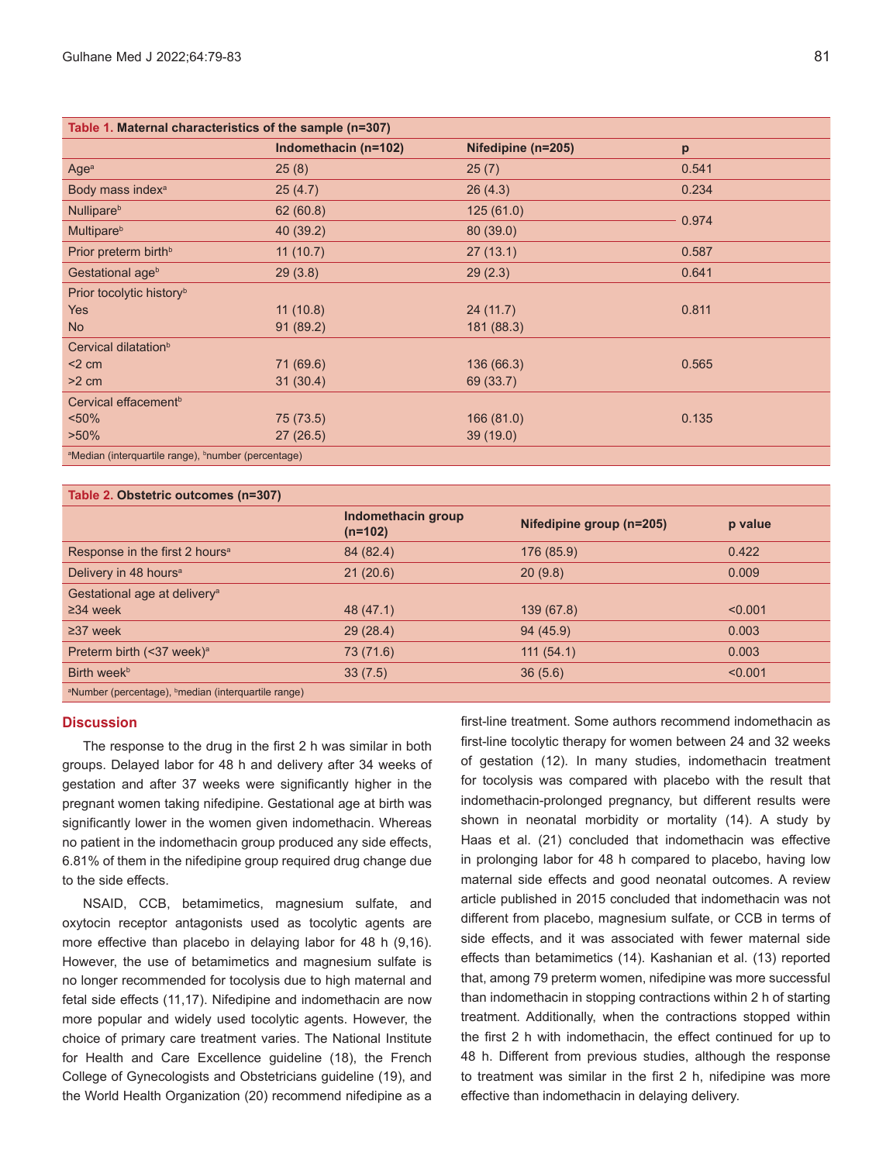| Table 1. Maternal characteristics of the sample (n=307)                     |                      |                    |       |  |
|-----------------------------------------------------------------------------|----------------------|--------------------|-------|--|
|                                                                             | Indomethacin (n=102) | Nifedipine (n=205) | p     |  |
| Age <sup>a</sup>                                                            | 25(8)                | 25(7)              | 0.541 |  |
| Body mass index <sup>a</sup>                                                | 25(4.7)              | 26(4.3)            | 0.234 |  |
| Nullipare <sup>b</sup>                                                      | 62(60.8)             | 125(61.0)          | 0.974 |  |
| <b>Multipare</b> <sup>b</sup>                                               | 40 (39.2)            | 80 (39.0)          |       |  |
| Prior preterm birth <sup>b</sup>                                            | 11(10.7)             | 27(13.1)           | 0.587 |  |
| Gestational age <sup>b</sup>                                                | 29(3.8)              | 29(2.3)            | 0.641 |  |
| Prior tocolytic history <sup>b</sup>                                        |                      |                    |       |  |
| <b>Yes</b>                                                                  | 11(10.8)             | 24(11.7)           | 0.811 |  |
| N <sub>o</sub>                                                              | 91(89.2)             | 181 (88.3)         |       |  |
| Cervical dilatation <sup>b</sup>                                            |                      |                    |       |  |
| $<$ 2 cm                                                                    | 71 (69.6)            | 136 (66.3)         | 0.565 |  |
| $>2$ cm                                                                     | 31(30.4)             | 69 (33.7)          |       |  |
| Cervical effacement <sup>b</sup>                                            |                      |                    |       |  |
| $< 50\%$                                                                    | 75 (73.5)            | 166(81.0)          | 0.135 |  |
| $>50\%$                                                                     | 27(26.5)             | 39(19.0)           |       |  |
| <sup>a</sup> Median (interquartile range), <sup>b</sup> number (percentage) |                      |                    |       |  |

# **Table 2. Obstetric outcomes (n=307)**

|                                                                     | Indomethacin group<br>$(n=102)$ | Nifedipine group (n=205) | p value |
|---------------------------------------------------------------------|---------------------------------|--------------------------|---------|
| Response in the first 2 hours <sup>a</sup>                          | 84 (82.4)                       | 176 (85.9)               | 0.422   |
| Delivery in 48 hours <sup>a</sup>                                   | 21(20.6)                        | 20(9.8)                  | 0.009   |
| Gestational age at delivery <sup>a</sup>                            |                                 |                          |         |
| $\geq$ 34 week                                                      | 48 (47.1)                       | 139 (67.8)               | < 0.001 |
| $\geq$ 37 week                                                      | 29(28.4)                        | 94(45.9)                 | 0.003   |
| Preterm birth (<37 week) <sup>a</sup>                               | 73 (71.6)                       | 111(54.1)                | 0.003   |
| Birth week <sup>b</sup>                                             | 33(7.5)                         | 36(5.6)                  | < 0.001 |
| shlopped and the commission of the college distance and the present |                                 |                          |         |

<sup>a</sup>Number (percentage), <sup>b</sup>median (interquartile range)

# **Discussion**

The response to the drug in the first 2 h was similar in both groups. Delayed labor for 48 h and delivery after 34 weeks of gestation and after 37 weeks were significantly higher in the pregnant women taking nifedipine. Gestational age at birth was significantly lower in the women given indomethacin. Whereas no patient in the indomethacin group produced any side effects, 6.81% of them in the nifedipine group required drug change due to the side effects.

NSAID, CCB, betamimetics, magnesium sulfate, and oxytocin receptor antagonists used as tocolytic agents are more effective than placebo in delaying labor for 48 h (9,16). However, the use of betamimetics and magnesium sulfate is no longer recommended for tocolysis due to high maternal and fetal side effects (11,17). Nifedipine and indomethacin are now more popular and widely used tocolytic agents. However, the choice of primary care treatment varies. The National Institute for Health and Care Excellence guideline (18), the French College of Gynecologists and Obstetricians guideline (19), and the World Health Organization (20) recommend nifedipine as a

first-line treatment. Some authors recommend indomethacin as first-line tocolytic therapy for women between 24 and 32 weeks of gestation (12). In many studies, indomethacin treatment for tocolysis was compared with placebo with the result that indomethacin-prolonged pregnancy, but different results were shown in neonatal morbidity or mortality (14). A study by Haas et al. (21) concluded that indomethacin was effective in prolonging labor for 48 h compared to placebo, having low maternal side effects and good neonatal outcomes. A review article published in 2015 concluded that indomethacin was not different from placebo, magnesium sulfate, or CCB in terms of side effects, and it was associated with fewer maternal side effects than betamimetics (14). Kashanian et al. (13) reported that, among 79 preterm women, nifedipine was more successful than indomethacin in stopping contractions within 2 h of starting treatment. Additionally, when the contractions stopped within the first 2 h with indomethacin, the effect continued for up to 48 h. Different from previous studies, although the response to treatment was similar in the first 2 h, nifedipine was more effective than indomethacin in delaying delivery.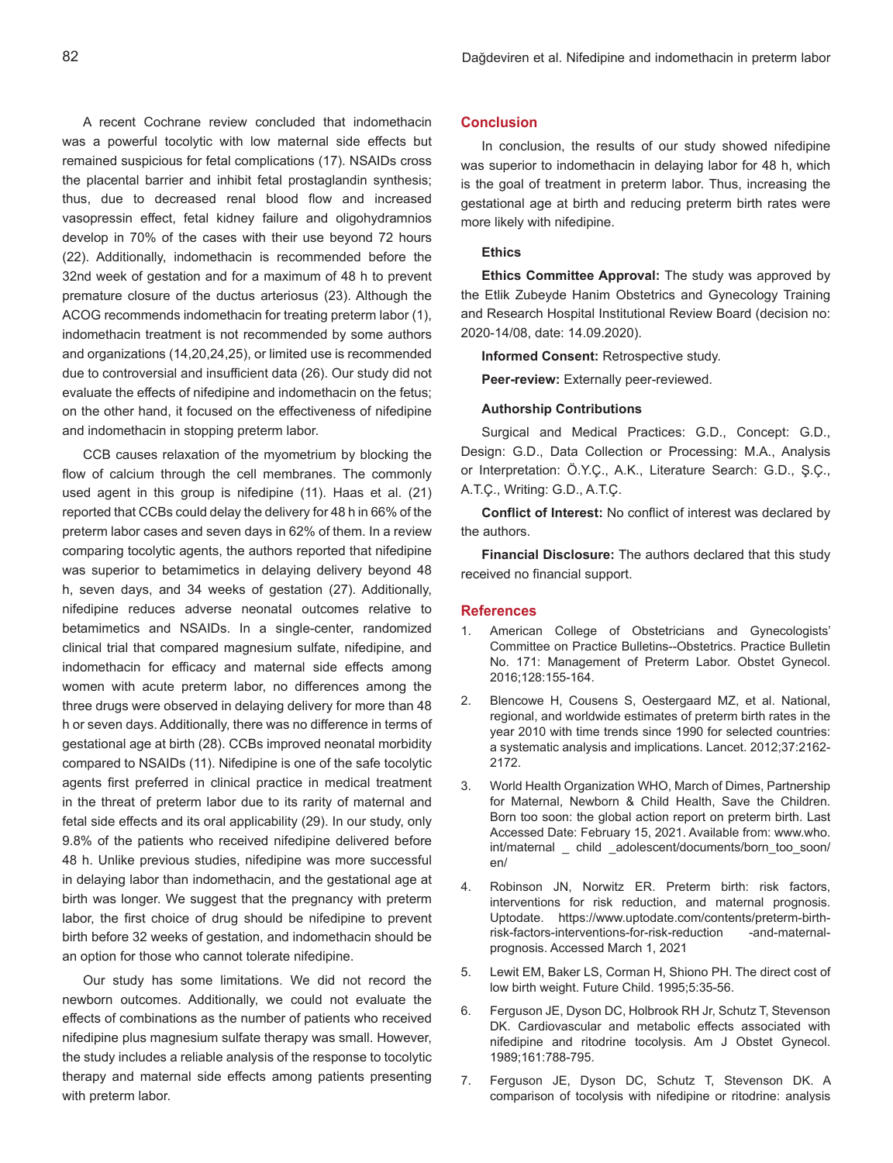A recent Cochrane review concluded that indomethacin was a powerful tocolytic with low maternal side effects but remained suspicious for fetal complications (17). NSAIDs cross the placental barrier and inhibit fetal prostaglandin synthesis; thus, due to decreased renal blood flow and increased vasopressin effect, fetal kidney failure and oligohydramnios develop in 70% of the cases with their use beyond 72 hours (22). Additionally, indomethacin is recommended before the 32nd week of gestation and for a maximum of 48 h to prevent premature closure of the ductus arteriosus (23). Although the ACOG recommends indomethacin for treating preterm labor (1), indomethacin treatment is not recommended by some authors and organizations (14,20,24,25), or limited use is recommended due to controversial and insufficient data (26). Our study did not evaluate the effects of nifedipine and indomethacin on the fetus; on the other hand, it focused on the effectiveness of nifedipine and indomethacin in stopping preterm labor.

CCB causes relaxation of the myometrium by blocking the flow of calcium through the cell membranes. The commonly used agent in this group is nifedipine (11). Haas et al. (21) reported that CCBs could delay the delivery for 48 h in 66% of the preterm labor cases and seven days in 62% of them. In a review comparing tocolytic agents, the authors reported that nifedipine was superior to betamimetics in delaying delivery beyond 48 h, seven days, and 34 weeks of gestation (27). Additionally, nifedipine reduces adverse neonatal outcomes relative to betamimetics and NSAIDs. In a single-center, randomized clinical trial that compared magnesium sulfate, nifedipine, and indomethacin for efficacy and maternal side effects among women with acute preterm labor, no differences among the three drugs were observed in delaying delivery for more than 48 h or seven days. Additionally, there was no difference in terms of gestational age at birth (28). CCBs improved neonatal morbidity compared to NSAIDs (11). Nifedipine is one of the safe tocolytic agents first preferred in clinical practice in medical treatment in the threat of preterm labor due to its rarity of maternal and fetal side effects and its oral applicability (29). In our study, only 9.8% of the patients who received nifedipine delivered before 48 h. Unlike previous studies, nifedipine was more successful in delaying labor than indomethacin, and the gestational age at birth was longer. We suggest that the pregnancy with preterm labor, the first choice of drug should be nifedipine to prevent birth before 32 weeks of gestation, and indomethacin should be an option for those who cannot tolerate nifedipine.

Our study has some limitations. We did not record the newborn outcomes. Additionally, we could not evaluate the effects of combinations as the number of patients who received nifedipine plus magnesium sulfate therapy was small. However, the study includes a reliable analysis of the response to tocolytic therapy and maternal side effects among patients presenting with preterm labor.

# **Conclusion**

In conclusion, the results of our study showed nifedipine was superior to indomethacin in delaying labor for 48 h, which is the goal of treatment in preterm labor. Thus, increasing the gestational age at birth and reducing preterm birth rates were more likely with nifedipine.

### **Ethics**

**Ethics Committee Approval:** The study was approved by the Etlik Zubeyde Hanim Obstetrics and Gynecology Training and Research Hospital Institutional Review Board (decision no: 2020-14/08, date: 14.09.2020).

**Informed Consent:** Retrospective study.

**Peer-review:** Externally peer-reviewed.

#### **Authorship Contributions**

Surgical and Medical Practices: G.D., Concept: G.D., Design: G.D., Data Collection or Processing: M.A., Analysis or Interpretation: Ö.Y.Ç., A.K., Literature Search: G.D., Ş.Ç., A.T.Ç., Writing: G.D., A.T.Ç.

**Conflict of Interest:** No conflict of interest was declared by the authors.

**Financial Disclosure:** The authors declared that this study received no financial support.

### **References**

- 1. American College of Obstetricians and Gynecologists' Committee on Practice Bulletins--Obstetrics. Practice Bulletin No. 171: Management of Preterm Labor. Obstet Gynecol. 2016;128:155-164.
- 2. Blencowe H, Cousens S, Oestergaard MZ, et al. National, regional, and worldwide estimates of preterm birth rates in the year 2010 with time trends since 1990 for selected countries: a systematic analysis and implications. Lancet. 2012;37:2162- 2172.
- 3. World Health Organization WHO, March of Dimes, Partnership for Maternal, Newborn & Child Health, Save the Children. Born too soon: the global action report on preterm birth. Last Accessed Date: February 15, 2021. Available from: www.who. int/maternal \_ child \_adolescent/documents/born\_too\_soon/ en/
- 4. Robinson JN, Norwitz ER. Preterm birth: risk factors, interventions for risk reduction, and maternal prognosis. Uptodate. https://www.uptodate.com/contents/preterm-birthrisk-factors-interventions-for-risk-reduction -and-maternalprognosis. Accessed March 1, 2021
- 5. Lewit EM, Baker LS, Corman H, Shiono PH. The direct cost of low birth weight. Future Child. 1995;5:35-56.
- 6. Ferguson JE, Dyson DC, Holbrook RH Jr, Schutz T, Stevenson DK. Cardiovascular and metabolic effects associated with nifedipine and ritodrine tocolysis. Am J Obstet Gynecol. 1989;161:788-795.
- 7. Ferguson JE, Dyson DC, Schutz T, Stevenson DK. A comparison of tocolysis with nifedipine or ritodrine: analysis